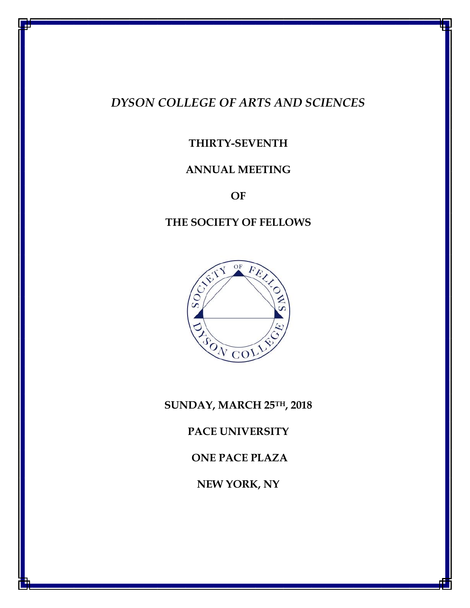# *DYSON COLLEGE OF ARTS AND SCIENCES*

# **THIRTY-SEVENTH**

# **ANNUAL MEETING**

**OF**

# **THE SOCIETY OF FELLOWS**



**SUNDAY, MARCH 25TH, 2018**

**PACE UNIVERSITY** 

**ONE PACE PLAZA**

**NEW YORK, NY**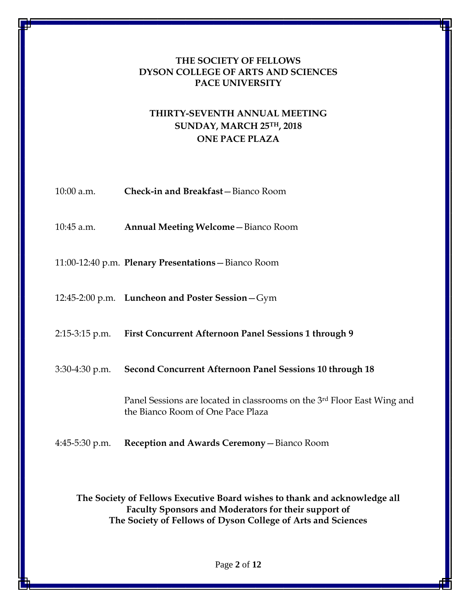### **THE SOCIETY OF FELLOWS DYSON COLLEGE OF ARTS AND SCIENCES PACE UNIVERSITY**

## **THIRTY-SEVENTH ANNUAL MEETING SUNDAY, MARCH 25TH, 2018 ONE PACE PLAZA**

| $10:00$ a.m.     | Check-in and Breakfast-Bianco Room                                                                           |
|------------------|--------------------------------------------------------------------------------------------------------------|
| $10:45$ a.m.     | <b>Annual Meeting Welcome - Bianco Room</b>                                                                  |
|                  | 11:00-12:40 p.m. Plenary Presentations - Bianco Room                                                         |
|                  | 12:45-2:00 p.m. Luncheon and Poster Session-Gym                                                              |
|                  | 2:15-3:15 p.m. First Concurrent Afternoon Panel Sessions 1 through 9                                         |
| $3:30-4:30$ p.m. | <b>Second Concurrent Afternoon Panel Sessions 10 through 18</b>                                              |
|                  | Panel Sessions are located in classrooms on the 3rd Floor East Wing and<br>the Bianco Room of One Pace Plaza |
| $4:45-5:30$ p.m. | Reception and Awards Ceremony - Bianco Room                                                                  |

**The Society of Fellows Executive Board wishes to thank and acknowledge all Faculty Sponsors and Moderators for their support of The Society of Fellows of Dyson College of Arts and Sciences**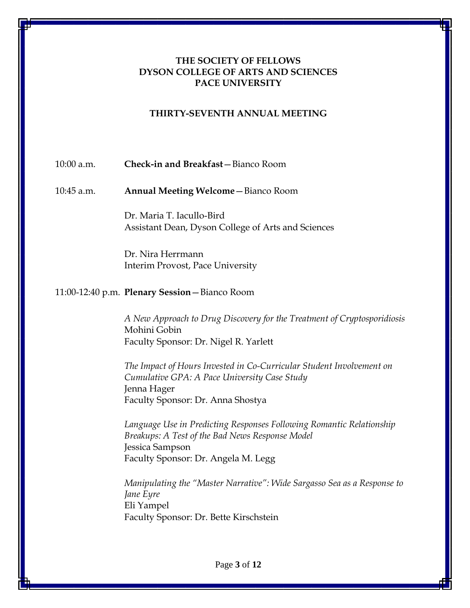### **THE SOCIETY OF FELLOWS DYSON COLLEGE OF ARTS AND SCIENCES PACE UNIVERSITY**

#### **THIRTY-SEVENTH ANNUAL MEETING**

#### 10:00 a.m. **Check-in and Breakfast**—Bianco Room

10:45 a.m. **Annual Meeting Welcome**—Bianco Room

Dr. Maria T. Iacullo-Bird Assistant Dean, Dyson College of Arts and Sciences

Dr. Nira Herrmann Interim Provost, Pace University

#### 11:00-12:40 p.m. **Plenary Session**—Bianco Room

*A New Approach to Drug Discovery for the Treatment of Cryptosporidiosis* Mohini Gobin Faculty Sponsor: Dr. Nigel R. Yarlett

*The Impact of Hours Invested in Co-Curricular Student Involvement on Cumulative GPA: A Pace University Case Study* Jenna Hager Faculty Sponsor: Dr. Anna Shostya

*Language Use in Predicting Responses Following Romantic Relationship Breakups: A Test of the Bad News Response Model* Jessica Sampson Faculty Sponsor: Dr. Angela M. Legg

*Manipulating the "Master Narrative": Wide Sargasso Sea as a Response to Jane Eyre* Eli Yampel Faculty Sponsor: Dr. Bette Kirschstein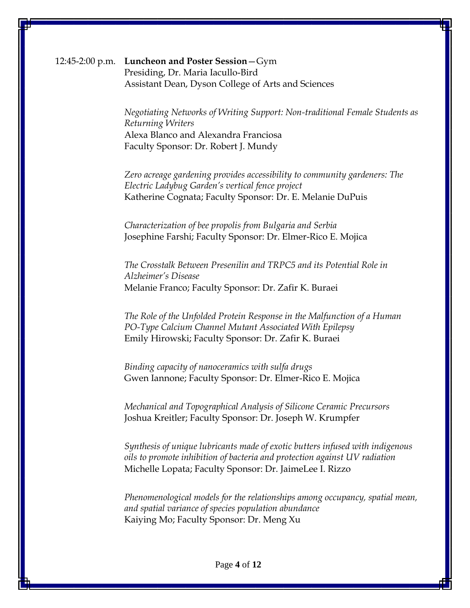12:45-2:00 p.m. **Luncheon and Poster Session**—Gym Presiding, Dr. Maria Iacullo-Bird Assistant Dean, Dyson College of Arts and Sciences

> *Negotiating Networks of Writing Support: Non-traditional Female Students as Returning Writers* Alexa Blanco and Alexandra Franciosa Faculty Sponsor: Dr. Robert J. Mundy

*Zero acreage gardening provides accessibility to community gardeners: The Electric Ladybug Garden's vertical fence project* Katherine Cognata; Faculty Sponsor: Dr. E. Melanie DuPuis

*Characterization of bee propolis from Bulgaria and Serbia* Josephine Farshi; Faculty Sponsor: Dr. Elmer-Rico E. Mojica

*The Crosstalk Between Presenilin and TRPC5 and its Potential Role in Alzheimer's Disease* Melanie Franco; Faculty Sponsor: Dr. Zafir K. Buraei

*The Role of the Unfolded Protein Response in the Malfunction of a Human PO-Type Calcium Channel Mutant Associated With Epilepsy* Emily Hirowski; Faculty Sponsor: Dr. Zafir K. Buraei

*Binding capacity of nanoceramics with sulfa drugs* Gwen Iannone; Faculty Sponsor: Dr. Elmer-Rico E. Mojica

*Mechanical and Topographical Analysis of Silicone Ceramic Precursors* Joshua Kreitler; Faculty Sponsor: Dr. Joseph W. Krumpfer

*Synthesis of unique lubricants made of exotic butters infused with indigenous oils to promote inhibition of bacteria and protection against UV radiation* Michelle Lopata; Faculty Sponsor: Dr. JaimeLee I. Rizzo

*Phenomenological models for the relationships among occupancy, spatial mean, and spatial variance of species population abundance* Kaiying Mo; Faculty Sponsor: Dr. Meng Xu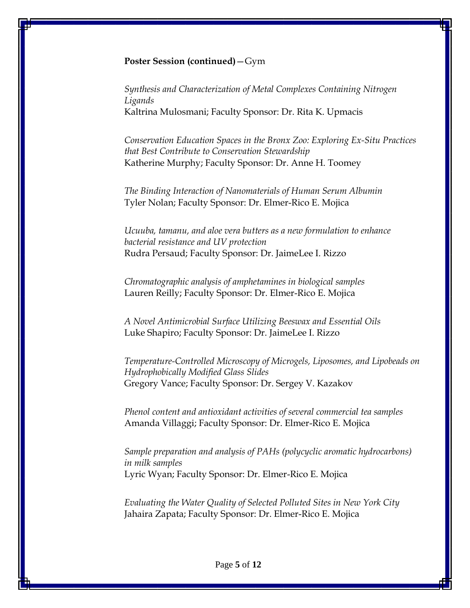#### **Poster Session (continued)**—Gym

*Synthesis and Characterization of Metal Complexes Containing Nitrogen Ligands* Kaltrina Mulosmani; Faculty Sponsor: Dr. Rita K. Upmacis

*Conservation Education Spaces in the Bronx Zoo: Exploring Ex-Situ Practices that Best Contribute to Conservation Stewardship* Katherine Murphy; Faculty Sponsor: Dr. Anne H. Toomey

*The Binding Interaction of Nanomaterials of Human Serum Albumin* Tyler Nolan; Faculty Sponsor: Dr. Elmer-Rico E. Mojica

*Ucuuba, tamanu, and aloe vera butters as a new formulation to enhance bacterial resistance and UV protection* Rudra Persaud; Faculty Sponsor: Dr. JaimeLee I. Rizzo

*Chromatographic analysis of amphetamines in biological samples* Lauren Reilly; Faculty Sponsor: Dr. Elmer-Rico E. Mojica

*A Novel Antimicrobial Surface Utilizing Beeswax and Essential Oils* Luke Shapiro; Faculty Sponsor: Dr. JaimeLee I. Rizzo

*Temperature-Controlled Microscopy of Microgels, Liposomes, and Lipobeads on Hydrophobically Modified Glass Slides* Gregory Vance; Faculty Sponsor: Dr. Sergey V. Kazakov

*Phenol content and antioxidant activities of several commercial tea samples* Amanda Villaggi; Faculty Sponsor: Dr. Elmer-Rico E. Mojica

*Sample preparation and analysis of PAHs (polycyclic aromatic hydrocarbons) in milk samples* Lyric Wyan; Faculty Sponsor: Dr. Elmer-Rico E. Mojica

*Evaluating the Water Quality of Selected Polluted Sites in New York City* Jahaira Zapata; Faculty Sponsor: Dr. Elmer-Rico E. Mojica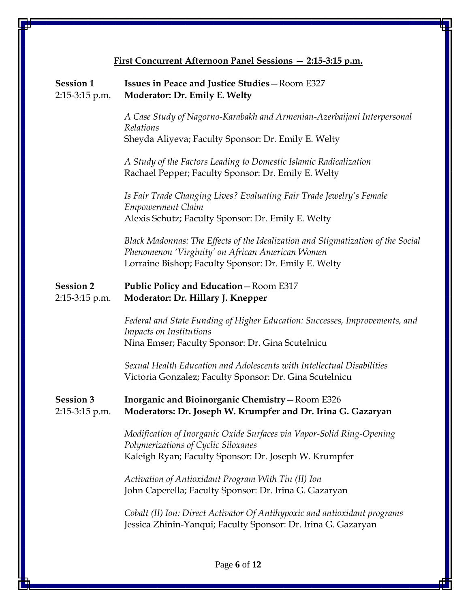| <b>Session 1</b><br>2:15-3:15 p.m. | <b>Issues in Peace and Justice Studies - Room E327</b><br>Moderator: Dr. Emily E. Welty                                                                                                      |
|------------------------------------|----------------------------------------------------------------------------------------------------------------------------------------------------------------------------------------------|
|                                    | A Case Study of Nagorno-Karabakh and Armenian-Azerbaijani Interpersonal<br>Relations                                                                                                         |
|                                    | Sheyda Aliyeva; Faculty Sponsor: Dr. Emily E. Welty                                                                                                                                          |
|                                    | A Study of the Factors Leading to Domestic Islamic Radicalization<br>Rachael Pepper; Faculty Sponsor: Dr. Emily E. Welty                                                                     |
|                                    | Is Fair Trade Changing Lives? Evaluating Fair Trade Jewelry's Female<br><b>Empowerment Claim</b>                                                                                             |
|                                    | Alexis Schutz; Faculty Sponsor: Dr. Emily E. Welty                                                                                                                                           |
|                                    | Black Madonnas: The Effects of the Idealization and Stigmatization of the Social<br>Phenomenon 'Virginity' on African American Women<br>Lorraine Bishop; Faculty Sponsor: Dr. Emily E. Welty |
| <b>Session 2</b><br>2:15-3:15 p.m. | <b>Public Policy and Education - Room E317</b><br>Moderator: Dr. Hillary J. Knepper                                                                                                          |
|                                    | Federal and State Funding of Higher Education: Successes, Improvements, and<br>Impacts on Institutions<br>Nina Emser; Faculty Sponsor: Dr. Gina Scutelnicu                                   |
|                                    | Sexual Health Education and Adolescents with Intellectual Disabilities<br>Victoria Gonzalez; Faculty Sponsor: Dr. Gina Scutelnicu                                                            |
| <b>Session 3</b><br>2:15-3:15 p.m. | <b>Inorganic and Bioinorganic Chemistry - Room E326</b><br>Moderators: Dr. Joseph W. Krumpfer and Dr. Irina G. Gazaryan                                                                      |
|                                    | Modification of Inorganic Oxide Surfaces via Vapor-Solid Ring-Opening<br>Polymerizations of Cyclic Siloxanes                                                                                 |
|                                    | Kaleigh Ryan; Faculty Sponsor: Dr. Joseph W. Krumpfer                                                                                                                                        |
|                                    | Activation of Antioxidant Program With Tin (II) Ion<br>John Caperella; Faculty Sponsor: Dr. Irina G. Gazaryan                                                                                |
|                                    | Cobalt (II) Ion: Direct Activator Of Antihypoxic and antioxidant programs<br>Jessica Zhinin-Yanqui; Faculty Sponsor: Dr. Irina G. Gazaryan                                                   |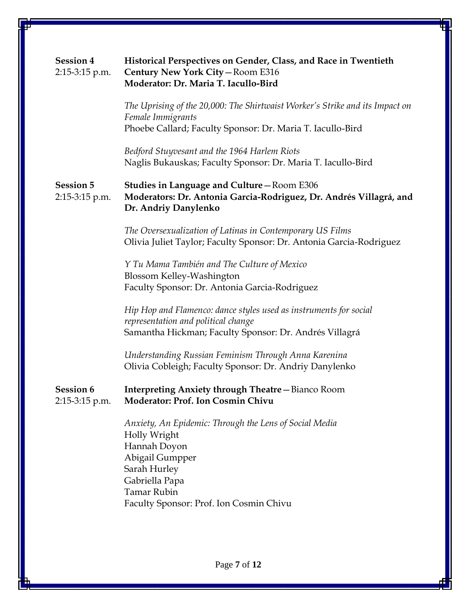| <b>Session 4</b><br>2:15-3:15 p.m.   | Historical Perspectives on Gender, Class, and Race in Twentieth<br>Century New York City-Room E316<br>Moderator: Dr. Maria T. Iacullo-Bird                                                                   |
|--------------------------------------|--------------------------------------------------------------------------------------------------------------------------------------------------------------------------------------------------------------|
|                                      | The Uprising of the 20,000: The Shirtwaist Worker's Strike and its Impact on<br>Female Immigrants<br>Phoebe Callard; Faculty Sponsor: Dr. Maria T. Iacullo-Bird                                              |
|                                      | Bedford Stuyvesant and the 1964 Harlem Riots<br>Naglis Bukauskas; Faculty Sponsor: Dr. Maria T. Iacullo-Bird                                                                                                 |
| <b>Session 5</b><br>2:15-3:15 p.m.   | <b>Studies in Language and Culture - Room E306</b><br>Moderators: Dr. Antonia Garcia-Rodriguez, Dr. Andrés Villagrá, and<br>Dr. Andriy Danylenko                                                             |
|                                      | The Oversexualization of Latinas in Contemporary US Films<br>Olivia Juliet Taylor; Faculty Sponsor: Dr. Antonia Garcia-Rodriguez                                                                             |
|                                      | Y Tu Mama También and The Culture of Mexico<br>Blossom Kelley-Washington<br>Faculty Sponsor: Dr. Antonia Garcia-Rodriguez                                                                                    |
|                                      | Hip Hop and Flamenco: dance styles used as instruments for social<br>representation and political change<br>Samantha Hickman; Faculty Sponsor: Dr. Andrés Villagrá                                           |
|                                      | Understanding Russian Feminism Through Anna Karenina<br>Olivia Cobleigh; Faculty Sponsor: Dr. Andriy Danylenko                                                                                               |
| <b>Session 6</b><br>$2:15-3:15$ p.m. | <b>Interpreting Anxiety through Theatre - Bianco Room</b><br>Moderator: Prof. Ion Cosmin Chivu                                                                                                               |
|                                      | Anxiety, An Epidemic: Through the Lens of Social Media<br>Holly Wright<br>Hannah Doyon<br>Abigail Gumpper<br>Sarah Hurley<br>Gabriella Papa<br><b>Tamar Rubin</b><br>Faculty Sponsor: Prof. Ion Cosmin Chivu |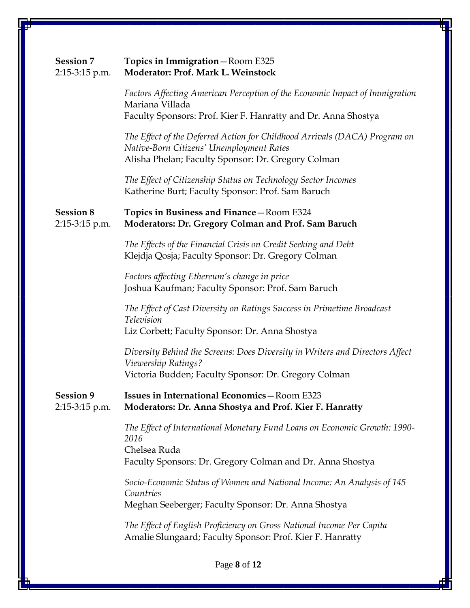| <b>Session 7</b><br>2:15-3:15 p.m. | Topics in Immigration-Room E325<br>Moderator: Prof. Mark L. Weinstock                                                                                                        |
|------------------------------------|------------------------------------------------------------------------------------------------------------------------------------------------------------------------------|
|                                    | Factors Affecting American Perception of the Economic Impact of Immigration<br>Mariana Villada<br>Faculty Sponsors: Prof. Kier F. Hanratty and Dr. Anna Shostya              |
|                                    | The Effect of the Deferred Action for Childhood Arrivals (DACA) Program on<br>Native-Born Citizens' Unemployment Rates<br>Alisha Phelan; Faculty Sponsor: Dr. Gregory Colman |
|                                    | The Effect of Citizenship Status on Technology Sector Incomes<br>Katherine Burt; Faculty Sponsor: Prof. Sam Baruch                                                           |
| <b>Session 8</b><br>2:15-3:15 p.m. | Topics in Business and Finance-Room E324<br>Moderators: Dr. Gregory Colman and Prof. Sam Baruch                                                                              |
|                                    | The Effects of the Financial Crisis on Credit Seeking and Debt<br>Klejdja Qosja; Faculty Sponsor: Dr. Gregory Colman                                                         |
|                                    | Factors affecting Ethereum's change in price<br>Joshua Kaufman; Faculty Sponsor: Prof. Sam Baruch                                                                            |
|                                    | The Effect of Cast Diversity on Ratings Success in Primetime Broadcast<br>Television<br>Liz Corbett; Faculty Sponsor: Dr. Anna Shostya                                       |
|                                    | Diversity Behind the Screens: Does Diversity in Writers and Directors Affect<br>Viewership Ratings?<br>Victoria Budden; Faculty Sponsor: Dr. Gregory Colman                  |
| <b>Session 9</b><br>2:15-3:15 p.m. | <b>Issues in International Economics - Room E323</b><br>Moderators: Dr. Anna Shostya and Prof. Kier F. Hanratty                                                              |
|                                    | The Effect of International Monetary Fund Loans on Economic Growth: 1990-<br>2016<br>Chelsea Ruda<br>Faculty Sponsors: Dr. Gregory Colman and Dr. Anna Shostya               |
|                                    | Socio-Economic Status of Women and National Income: An Analysis of 145<br>Countries<br>Meghan Seeberger; Faculty Sponsor: Dr. Anna Shostya                                   |
|                                    | The Effect of English Proficiency on Gross National Income Per Capita<br>Amalie Slungaard; Faculty Sponsor: Prof. Kier F. Hanratty                                           |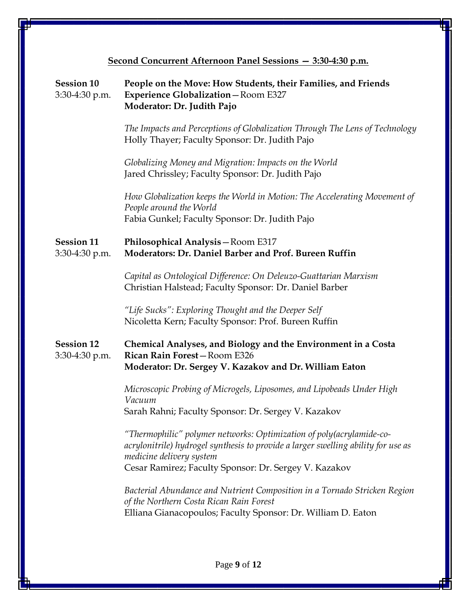| Second Concurrent Afternoon Panel Sessions - 3:30-4:30 p.m. |                                                                                                                                                                                                                                                 |
|-------------------------------------------------------------|-------------------------------------------------------------------------------------------------------------------------------------------------------------------------------------------------------------------------------------------------|
| <b>Session 10</b><br>3:30-4:30 p.m.                         | People on the Move: How Students, their Families, and Friends<br><b>Experience Globalization-Room E327</b><br>Moderator: Dr. Judith Pajo                                                                                                        |
|                                                             | The Impacts and Perceptions of Globalization Through The Lens of Technology<br>Holly Thayer; Faculty Sponsor: Dr. Judith Pajo                                                                                                                   |
|                                                             | Globalizing Money and Migration: Impacts on the World<br>Jared Chrissley; Faculty Sponsor: Dr. Judith Pajo                                                                                                                                      |
|                                                             | How Globalization keeps the World in Motion: The Accelerating Movement of<br>People around the World<br>Fabia Gunkel; Faculty Sponsor: Dr. Judith Pajo                                                                                          |
| <b>Session 11</b><br>3:30-4:30 p.m.                         | Philosophical Analysis - Room E317<br>Moderators: Dr. Daniel Barber and Prof. Bureen Ruffin                                                                                                                                                     |
|                                                             | Capital as Ontological Difference: On Deleuzo-Guattarian Marxism<br>Christian Halstead; Faculty Sponsor: Dr. Daniel Barber                                                                                                                      |
|                                                             | "Life Sucks": Exploring Thought and the Deeper Self<br>Nicoletta Kern; Faculty Sponsor: Prof. Bureen Ruffin                                                                                                                                     |
| <b>Session 12</b><br>3:30-4:30 p.m.                         | <b>Chemical Analyses, and Biology and the Environment in a Costa</b><br>Rican Rain Forest-Room E326<br>Moderator: Dr. Sergey V. Kazakov and Dr. William Eaton                                                                                   |
|                                                             | Microscopic Probing of Microgels, Liposomes, and Lipobeads Under High<br>Vacuum<br>Sarah Rahni; Faculty Sponsor: Dr. Sergey V. Kazakov                                                                                                          |
|                                                             | "Thermophilic" polymer networks: Optimization of poly (acrylamide-co-<br>acrylonitrile) hydrogel synthesis to provide a larger swelling ability for use as<br>medicine delivery system<br>Cesar Ramirez; Faculty Sponsor: Dr. Sergey V. Kazakov |
|                                                             | Bacterial Abundance and Nutrient Composition in a Tornado Stricken Region<br>of the Northern Costa Rican Rain Forest<br>Elliana Gianacopoulos; Faculty Sponsor: Dr. William D. Eaton                                                            |
|                                                             |                                                                                                                                                                                                                                                 |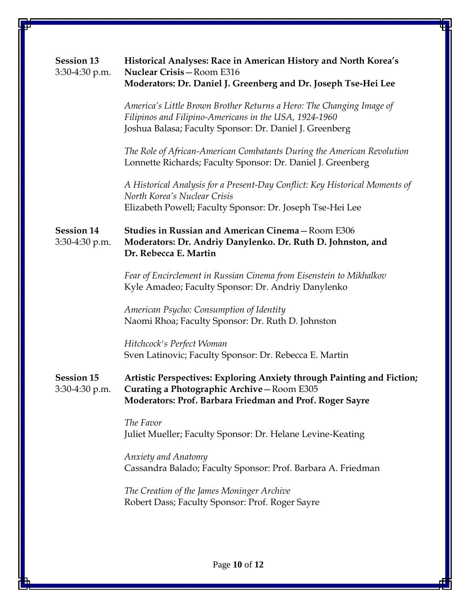| <b>Session 13</b><br>3:30-4:30 p.m. | Historical Analyses: Race in American History and North Korea's<br>Nuclear Crisis-Room E316<br>Moderators: Dr. Daniel J. Greenberg and Dr. Joseph Tse-Hei Lee                             |
|-------------------------------------|-------------------------------------------------------------------------------------------------------------------------------------------------------------------------------------------|
|                                     | America's Little Brown Brother Returns a Hero: The Changing Image of<br>Filipinos and Filipino-Americans in the USA, 1924-1960<br>Joshua Balasa; Faculty Sponsor: Dr. Daniel J. Greenberg |
|                                     | The Role of African-American Combatants During the American Revolution<br>Lonnette Richards; Faculty Sponsor: Dr. Daniel J. Greenberg                                                     |
|                                     | A Historical Analysis for a Present-Day Conflict: Key Historical Moments of<br>North Korea's Nuclear Crisis<br>Elizabeth Powell; Faculty Sponsor: Dr. Joseph Tse-Hei Lee                  |
| <b>Session 14</b><br>3:30-4:30 p.m. | Studies in Russian and American Cinema-Room E306<br>Moderators: Dr. Andriy Danylenko. Dr. Ruth D. Johnston, and<br>Dr. Rebecca E. Martin                                                  |
|                                     | Fear of Encirclement in Russian Cinema from Eisenstein to Mikhalkov<br>Kyle Amadeo; Faculty Sponsor: Dr. Andriy Danylenko                                                                 |
|                                     | American Psycho: Consumption of Identity<br>Naomi Rhoa; Faculty Sponsor: Dr. Ruth D. Johnston                                                                                             |
|                                     | Hitchcock's Perfect Woman<br>Sven Latinovic; Faculty Sponsor: Dr. Rebecca E. Martin                                                                                                       |
| <b>Session 15</b><br>3:30-4:30 p.m. | Artistic Perspectives: Exploring Anxiety through Painting and Fiction;<br>Curating a Photographic Archive-Room E305<br>Moderators: Prof. Barbara Friedman and Prof. Roger Sayre           |
|                                     | The Favor<br>Juliet Mueller; Faculty Sponsor: Dr. Helane Levine-Keating                                                                                                                   |
|                                     | <b>Anxiety and Anatomy</b><br>Cassandra Balado; Faculty Sponsor: Prof. Barbara A. Friedman                                                                                                |
|                                     | The Creation of the James Moninger Archive<br>Robert Dass; Faculty Sponsor: Prof. Roger Sayre                                                                                             |
|                                     |                                                                                                                                                                                           |

Page **10** of **12**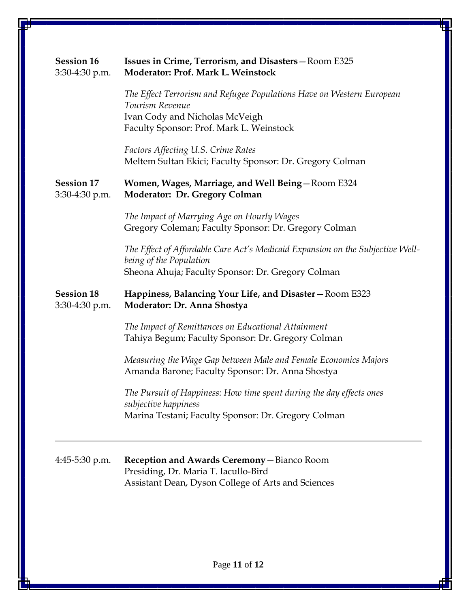| <b>Session 16</b><br>3:30-4:30 p.m. | Issues in Crime, Terrorism, and Disasters-Room E325<br><b>Moderator: Prof. Mark L. Weinstock</b>                                                                       |
|-------------------------------------|------------------------------------------------------------------------------------------------------------------------------------------------------------------------|
|                                     | The Effect Terrorism and Refugee Populations Have on Western European<br>Tourism Revenue<br>Ivan Cody and Nicholas McVeigh<br>Faculty Sponsor: Prof. Mark L. Weinstock |
|                                     | Factors Affecting U.S. Crime Rates<br>Meltem Sultan Ekici; Faculty Sponsor: Dr. Gregory Colman                                                                         |
| <b>Session 17</b><br>3:30-4:30 p.m. | Women, Wages, Marriage, and Well Being-Room E324<br><b>Moderator: Dr. Gregory Colman</b>                                                                               |
|                                     | The Impact of Marrying Age on Hourly Wages<br>Gregory Coleman; Faculty Sponsor: Dr. Gregory Colman                                                                     |
|                                     | The Effect of Affordable Care Act's Medicaid Expansion on the Subjective Well-<br>being of the Population<br>Sheona Ahuja; Faculty Sponsor: Dr. Gregory Colman         |
| <b>Session 18</b><br>3:30-4:30 p.m. | Happiness, Balancing Your Life, and Disaster - Room E323<br>Moderator: Dr. Anna Shostya                                                                                |
|                                     | The Impact of Remittances on Educational Attainment<br>Tahiya Begum; Faculty Sponsor: Dr. Gregory Colman                                                               |
|                                     | Measuring the Wage Gap between Male and Female Economics Majors<br>Amanda Barone; Faculty Sponsor: Dr. Anna Shostya                                                    |
|                                     | The Pursuit of Happiness: How time spent during the day effects ones<br>subjective happiness                                                                           |
|                                     | Marina Testani; Faculty Sponsor: Dr. Gregory Colman                                                                                                                    |
| 4:45-5:30 p.m.                      | Reception and Awards Ceremony - Bianco Room<br>Presiding, Dr. Maria T. Iacullo-Bird<br>Assistant Dean, Dyson College of Arts and Sciences                              |